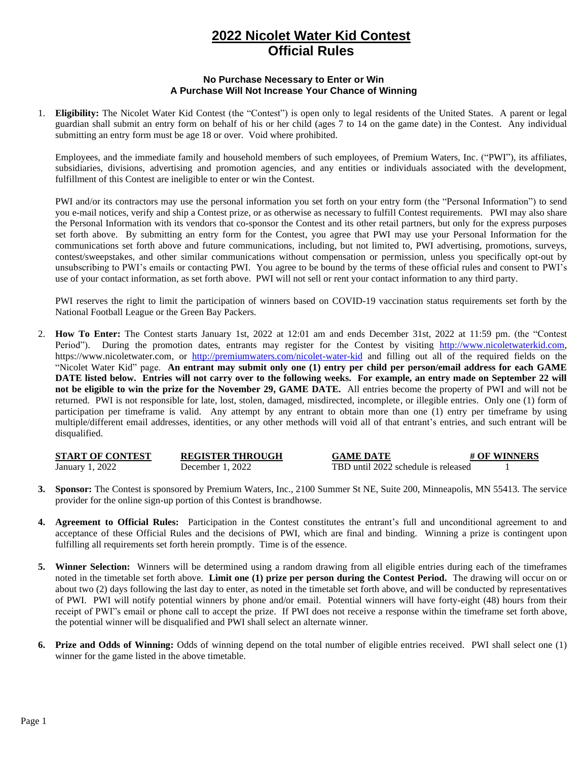## **2022 Nicolet Water Kid Contest Official Rules**

## **No Purchase Necessary to Enter or Win A Purchase Will Not Increase Your Chance of Winning**

1. **Eligibility:** The Nicolet Water Kid Contest (the "Contest") is open only to legal residents of the United States. A parent or legal guardian shall submit an entry form on behalf of his or her child (ages 7 to 14 on the game date) in the Contest. Any individual submitting an entry form must be age 18 or over. Void where prohibited.

Employees, and the immediate family and household members of such employees, of Premium Waters, Inc. ("PWI"), its affiliates, subsidiaries, divisions, advertising and promotion agencies, and any entities or individuals associated with the development, fulfillment of this Contest are ineligible to enter or win the Contest.

PWI and/or its contractors may use the personal information you set forth on your entry form (the "Personal Information") to send you e-mail notices, verify and ship a Contest prize, or as otherwise as necessary to fulfill Contest requirements. PWI may also share the Personal Information with its vendors that co-sponsor the Contest and its other retail partners, but only for the express purposes set forth above. By submitting an entry form for the Contest, you agree that PWI may use your Personal Information for the communications set forth above and future communications, including, but not limited to, PWI advertising, promotions, surveys, contest/sweepstakes, and other similar communications without compensation or permission, unless you specifically opt-out by unsubscribing to PWI's emails or contacting PWI. You agree to be bound by the terms of these official rules and consent to PWI's use of your contact information, as set forth above. PWI will not sell or rent your contact information to any third party.

PWI reserves the right to limit the participation of winners based on COVID-19 vaccination status requirements set forth by the National Football League or the Green Bay Packers.

2. **How To Enter:** The Contest starts January 1st, 2022 at 12:01 am and ends December 31st, 2022 at 11:59 pm. (the "Contest Period"). During the promotion dates, entrants may register for the Contest by visiting [http://www.nicoletwaterkid.com,](http://www.nicoletwaterkid.com/) https://www.nicoletwater.com, or <http://premiumwaters.com/nicolet-water-kid> and filling out all of the required fields on the "Nicolet Water Kid" page. **An entrant may submit only one (1) entry per child per person/email address for each GAME DATE listed below. Entries will not carry over to the following weeks. For example, an entry made on September 22 will not be eligible to win the prize for the November 29, GAME DATE.** All entries become the property of PWI and will not be returned. PWI is not responsible for late, lost, stolen, damaged, misdirected, incomplete, or illegible entries. Only one (1) form of participation per timeframe is valid. Any attempt by any entrant to obtain more than one (1) entry per timeframe by using multiple/different email addresses, identities, or any other methods will void all of that entrant's entries, and such entrant will be disqualified.

| <b>START OF CONTEST</b> | <b>REGISTER THROUGH</b> | <b>GAME DATE</b>                    | # OF WINNERS |
|-------------------------|-------------------------|-------------------------------------|--------------|
| January 1, 2022         | December 1, 2022        | TBD until 2022 schedule is released |              |

- **3. Sponsor:** The Contest is sponsored by Premium Waters, Inc., 2100 Summer St NE, Suite 200, Minneapolis, MN 55413. The service provider for the online sign-up portion of this Contest is brandhowse.
- **4. Agreement to Official Rules:** Participation in the Contest constitutes the entrant's full and unconditional agreement to and acceptance of these Official Rules and the decisions of PWI, which are final and binding. Winning a prize is contingent upon fulfilling all requirements set forth herein promptly. Time is of the essence.
- **5. Winner Selection:** Winners will be determined using a random drawing from all eligible entries during each of the timeframes noted in the timetable set forth above. **Limit one (1) prize per person during the Contest Period.** The drawing will occur on or about two (2) days following the last day to enter, as noted in the timetable set forth above, and will be conducted by representatives of PWI. PWI will notify potential winners by phone and/or email. Potential winners will have forty-eight (48) hours from their receipt of PWI"s email or phone call to accept the prize. If PWI does not receive a response within the timeframe set forth above, the potential winner will be disqualified and PWI shall select an alternate winner.
- **6. Prize and Odds of Winning:** Odds of winning depend on the total number of eligible entries received. PWI shall select one (1) winner for the game listed in the above timetable.